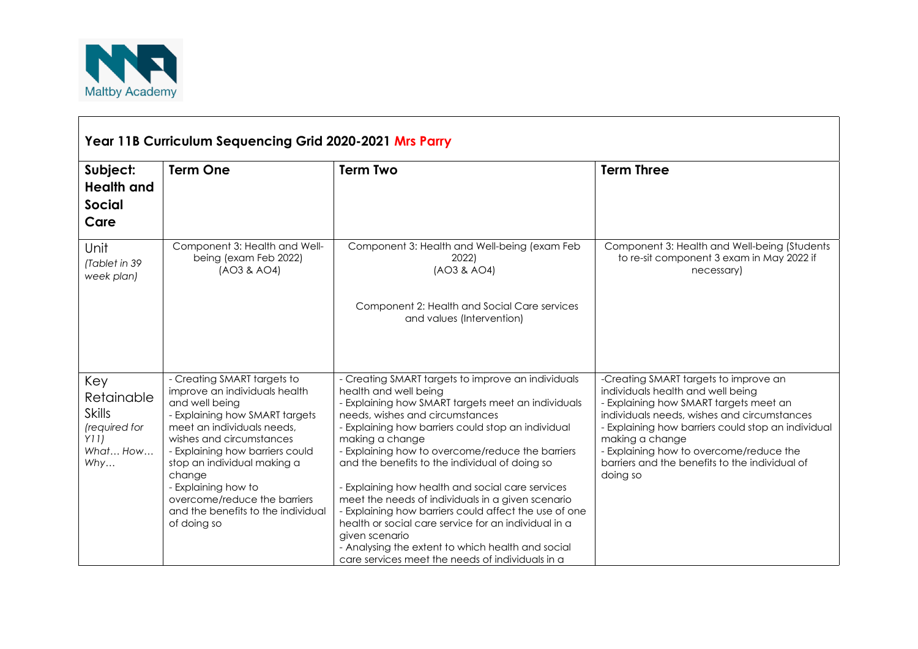

| Year 11B Curriculum Sequencing Grid 2020-2021 Mrs Parry                        |                                                                                                                                                                                                                                                                                                                                                                    |                                                                                                                                                                                                                                                                                                                                                                                                                                                                                                                                                                                                                                                                                                          |                                                                                                                                                                                                                                                                                                                                                       |  |  |  |
|--------------------------------------------------------------------------------|--------------------------------------------------------------------------------------------------------------------------------------------------------------------------------------------------------------------------------------------------------------------------------------------------------------------------------------------------------------------|----------------------------------------------------------------------------------------------------------------------------------------------------------------------------------------------------------------------------------------------------------------------------------------------------------------------------------------------------------------------------------------------------------------------------------------------------------------------------------------------------------------------------------------------------------------------------------------------------------------------------------------------------------------------------------------------------------|-------------------------------------------------------------------------------------------------------------------------------------------------------------------------------------------------------------------------------------------------------------------------------------------------------------------------------------------------------|--|--|--|
| Subject:<br><b>Health and</b><br><b>Social</b><br>Care                         | <b>Term One</b>                                                                                                                                                                                                                                                                                                                                                    | <b>Term Two</b>                                                                                                                                                                                                                                                                                                                                                                                                                                                                                                                                                                                                                                                                                          | <b>Term Three</b>                                                                                                                                                                                                                                                                                                                                     |  |  |  |
| Unit<br>(Tablet in 39<br>week plan)                                            | Component 3: Health and Well-<br>being (exam Feb 2022)<br>(AO3 & AO4)                                                                                                                                                                                                                                                                                              | Component 3: Health and Well-being (exam Feb<br>2022)<br>(AO3 & AO4)<br>Component 2: Health and Social Care services<br>and values (Intervention)                                                                                                                                                                                                                                                                                                                                                                                                                                                                                                                                                        | Component 3: Health and Well-being (Students<br>to re-sit component 3 exam in May 2022 if<br>necessary)                                                                                                                                                                                                                                               |  |  |  |
| Key<br>Retainable<br><b>Skills</b><br>(required for<br>Y11)<br>What How<br>Why | - Creating SMART targets to<br>improve an individuals health<br>and well being<br>- Explaining how SMART targets<br>meet an individuals needs,<br>wishes and circumstances<br>- Explaining how barriers could<br>stop an individual making a<br>change<br>- Explaining how to<br>overcome/reduce the barriers<br>and the benefits to the individual<br>of doing so | - Creating SMART targets to improve an individuals<br>health and well being<br>- Explaining how SMART targets meet an individuals<br>needs, wishes and circumstances<br>- Explaining how barriers could stop an individual<br>making a change<br>- Explaining how to overcome/reduce the barriers<br>and the benefits to the individual of doing so<br>- Explaining how health and social care services<br>meet the needs of individuals in a given scenario<br>- Explaining how barriers could affect the use of one<br>health or social care service for an individual in a<br>given scenario<br>- Analysing the extent to which health and social<br>care services meet the needs of individuals in a | -Creating SMART targets to improve an<br>individuals health and well being<br>- Explaining how SMART targets meet an<br>individuals needs, wishes and circumstances<br>- Explaining how barriers could stop an individual<br>making a change<br>- Explaining how to overcome/reduce the<br>barriers and the benefits to the individual of<br>doing so |  |  |  |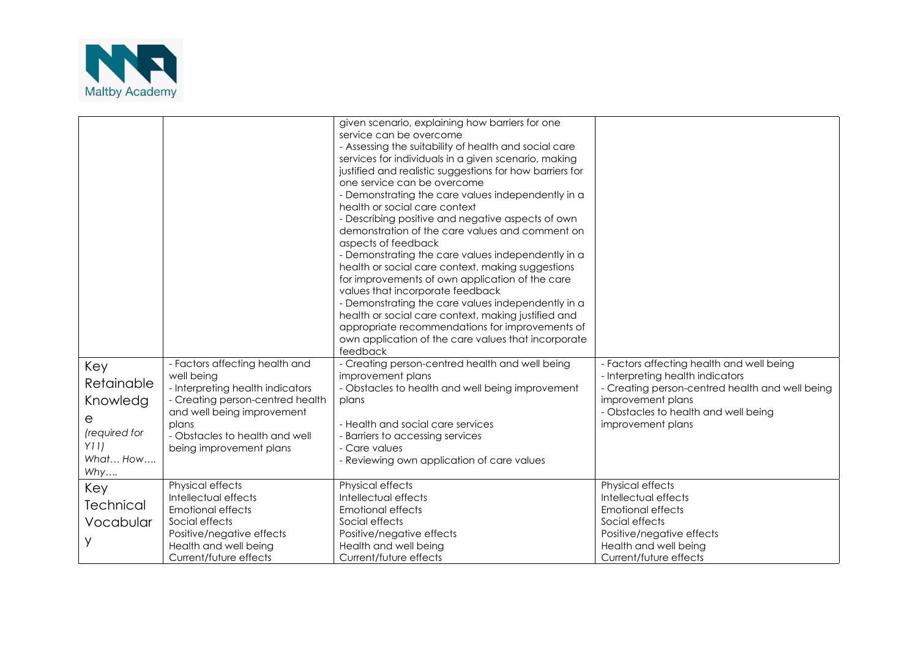

|                               |                                                                                                                      | given scenario, explaining how barriers for one<br>service can be overcome<br>- Assessing the suitability of health and social care<br>services for individuals in a given scenario, making<br>justified and realistic suggestions for how barriers for<br>one service can be overcome<br>- Demonstrating the care values independently in a<br>health or social care context<br>- Describing positive and negative aspects of own<br>demonstration of the care values and comment on<br>aspects of feedback<br>- Demonstrating the care values independently in a<br>health or social care context, making suggestions<br>for improvements of own application of the care<br>values that incorporate feedback<br>- Demonstrating the care values independently in a<br>health or social care context, making justified and<br>appropriate recommendations for improvements of<br>own application of the care values that incorporate<br>feedback |                                                                                                                                                       |
|-------------------------------|----------------------------------------------------------------------------------------------------------------------|---------------------------------------------------------------------------------------------------------------------------------------------------------------------------------------------------------------------------------------------------------------------------------------------------------------------------------------------------------------------------------------------------------------------------------------------------------------------------------------------------------------------------------------------------------------------------------------------------------------------------------------------------------------------------------------------------------------------------------------------------------------------------------------------------------------------------------------------------------------------------------------------------------------------------------------------------|-------------------------------------------------------------------------------------------------------------------------------------------------------|
| Key<br>Retainable<br>Knowledg | - Factors affecting health and<br>well being<br>- Interpreting health indicators<br>- Creating person-centred health | - Creating person-centred health and well being<br>improvement plans<br>- Obstacles to health and well being improvement<br>plans                                                                                                                                                                                                                                                                                                                                                                                                                                                                                                                                                                                                                                                                                                                                                                                                                 | - Factors affecting health and well being<br>- Interpreting health indicators<br>- Creating person-centred health and well being<br>improvement plans |
| е<br>(required for            | and well being improvement<br>plans<br>- Obstacles to health and well                                                | - Health and social care services<br>- Barriers to accessing services                                                                                                                                                                                                                                                                                                                                                                                                                                                                                                                                                                                                                                                                                                                                                                                                                                                                             | - Obstacles to health and well being<br>improvement plans                                                                                             |
| Y11<br>What How<br>Why        | being improvement plans                                                                                              | - Care values<br>- Reviewing own application of care values                                                                                                                                                                                                                                                                                                                                                                                                                                                                                                                                                                                                                                                                                                                                                                                                                                                                                       |                                                                                                                                                       |
| Key                           | Physical effects<br>Intellectual effects                                                                             | Physical effects<br>Intellectual effects                                                                                                                                                                                                                                                                                                                                                                                                                                                                                                                                                                                                                                                                                                                                                                                                                                                                                                          | Physical effects<br>Intellectual effects                                                                                                              |
| <b>Technical</b>              | <b>Emotional effects</b>                                                                                             | Emotional effects                                                                                                                                                                                                                                                                                                                                                                                                                                                                                                                                                                                                                                                                                                                                                                                                                                                                                                                                 | <b>Emotional effects</b>                                                                                                                              |
| Vocabular                     | Social effects                                                                                                       | Social effects                                                                                                                                                                                                                                                                                                                                                                                                                                                                                                                                                                                                                                                                                                                                                                                                                                                                                                                                    | Social effects                                                                                                                                        |
| У                             | Positive/negative effects                                                                                            | Positive/negative effects                                                                                                                                                                                                                                                                                                                                                                                                                                                                                                                                                                                                                                                                                                                                                                                                                                                                                                                         | Positive/negative effects                                                                                                                             |
|                               | Health and well being                                                                                                | Health and well being                                                                                                                                                                                                                                                                                                                                                                                                                                                                                                                                                                                                                                                                                                                                                                                                                                                                                                                             | Health and well being                                                                                                                                 |
|                               | Current/future effects                                                                                               | Current/future effects                                                                                                                                                                                                                                                                                                                                                                                                                                                                                                                                                                                                                                                                                                                                                                                                                                                                                                                            | Current/future effects                                                                                                                                |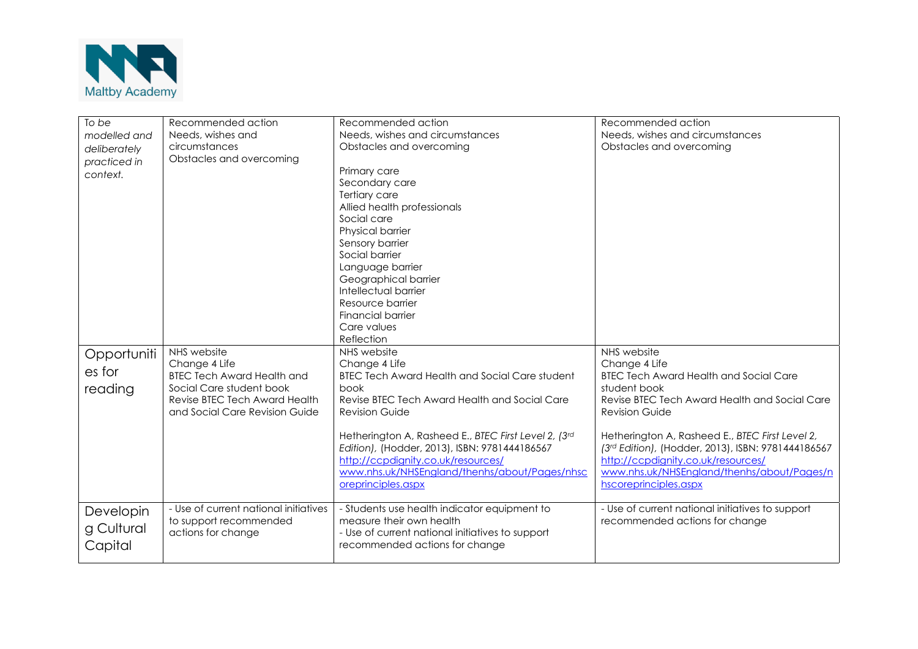

| To be        | Recommended action                    | Recommended action                                    | Recommended action                                 |
|--------------|---------------------------------------|-------------------------------------------------------|----------------------------------------------------|
| modelled and | Needs, wishes and                     | Needs, wishes and circumstances                       | Needs, wishes and circumstances                    |
| deliberately | circumstances                         | Obstacles and overcoming                              | Obstacles and overcoming                           |
| practiced in | Obstacles and overcoming              |                                                       |                                                    |
| context.     |                                       | Primary care                                          |                                                    |
|              |                                       | Secondary care                                        |                                                    |
|              |                                       | Tertiary care                                         |                                                    |
|              |                                       | Allied health professionals                           |                                                    |
|              |                                       | Social care                                           |                                                    |
|              |                                       | Physical barrier                                      |                                                    |
|              |                                       | Sensory barrier                                       |                                                    |
|              |                                       | Social barrier                                        |                                                    |
|              |                                       | Language barrier                                      |                                                    |
|              |                                       | Geographical barrier                                  |                                                    |
|              |                                       | Intellectual barrier                                  |                                                    |
|              |                                       | Resource barrier                                      |                                                    |
|              |                                       | <b>Financial barrier</b>                              |                                                    |
|              |                                       | Care values                                           |                                                    |
|              |                                       | Reflection                                            |                                                    |
| Opportuniti  | NHS website                           | NHS website                                           | NHS website                                        |
|              | Change 4 Life                         | Change 4 Life                                         | Change 4 Life                                      |
| es for       | <b>BTEC Tech Award Health and</b>     | <b>BTEC Tech Award Health and Social Care student</b> | <b>BTEC Tech Award Health and Social Care</b>      |
| reading      | Social Care student book              | book                                                  | student book                                       |
|              | Revise BTEC Tech Award Health         | Revise BTEC Tech Award Health and Social Care         | Revise BTEC Tech Award Health and Social Care      |
|              | and Social Care Revision Guide        | <b>Revision Guide</b>                                 | <b>Revision Guide</b>                              |
|              |                                       |                                                       |                                                    |
|              |                                       | Hetherington A, Rasheed E., BTEC First Level 2, (3rd  | Hetherington A, Rasheed E., BTEC First Level 2,    |
|              |                                       | Edition), (Hodder, 2013), ISBN: 9781444186567         | (3rd Edition), (Hodder, 2013), ISBN: 9781444186567 |
|              |                                       | http://ccpdignity.co.uk/resources/                    | http://ccpdignity.co.uk/resources/                 |
|              |                                       | www.nhs.uk/NHSEngland/thenhs/about/Pages/nhsc         | www.nhs.uk/NHSEngland/thenhs/about/Pages/n         |
|              |                                       | oreprinciples.aspx                                    | hscoreprinciples.aspx                              |
|              |                                       |                                                       |                                                    |
| Developin    | - Use of current national initiatives | - Students use health indicator equipment to          | - Use of current national initiatives to support   |
|              | to support recommended                | measure their own health                              | recommended actions for change                     |
| g Cultural   | actions for change                    | - Use of current national initiatives to support      |                                                    |
| Capital      |                                       | recommended actions for change                        |                                                    |
|              |                                       |                                                       |                                                    |
|              |                                       |                                                       |                                                    |